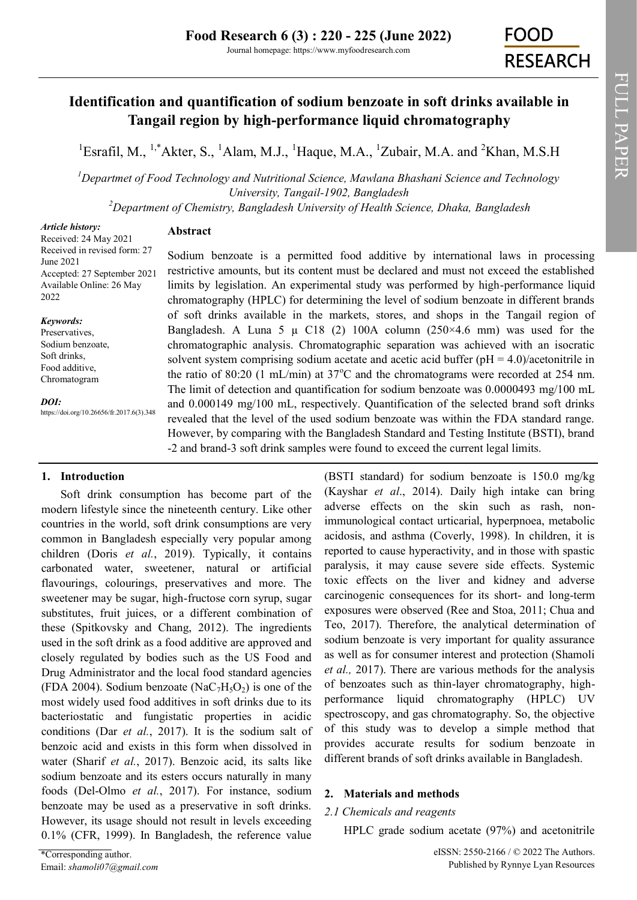# **Identification and quantification of sodium benzoate in soft drinks available in Tangail region by high-performance liquid chromatography**

<sup>1</sup>Esrafil, M., <sup>1,\*</sup>Akter, S., <sup>1</sup>Alam, M.J., <sup>1</sup>Haque, M.A., <sup>1</sup>Zubair, M.A. and <sup>2</sup>Khan, M.S.H

*<sup>1</sup>Departmet of Food Technology and Nutritional Science, Mawlana Bhashani Science and Technology University, Tangail-1902, Bangladesh*

*<sup>2</sup>Department of Chemistry, Bangladesh University of Health Science, Dhaka, Bangladesh*

## *Article history:*

## **Abstract**

Received: 24 May 2021 Received in revised form: 27 June 2021 Accepted: 27 September 2021 Available Online: 26 May 2022

## *Keywords:*

Preservatives, Sodium benzoate, Soft drinks, Food additive, Chromatogram

*DOI:*

https://doi.org/10.26656/fr.2017.6(3).348

## **1. Introduction**

Soft drink consumption has become part of the modern lifestyle since the nineteenth century. Like other countries in the world, soft drink consumptions are very common in Bangladesh especially very popular among children (Doris *et al.*, 2019). Typically, it contains carbonated water, sweetener, natural or artificial flavourings, colourings, preservatives and more. The sweetener may be sugar, high-fructose corn syrup, sugar substitutes, fruit juices, or a different combination of these (Spitkovsky and Chang, 2012). The ingredients used in the soft drink as a food additive are approved and closely regulated by bodies such as the US Food and Drug Administrator and the local food standard agencies (FDA 2004). Sodium benzoate (NaC<sub>7</sub>H<sub>5</sub>O<sub>2</sub>) is one of the most widely used food additives in soft drinks due to its bacteriostatic and fungistatic properties in acidic conditions (Dar *et al.*, 2017). It is the sodium salt of benzoic acid and exists in this form when dissolved in water (Sharif *et al.*, 2017). Benzoic acid, its salts like sodium benzoate and its esters occurs naturally in many foods (Del-Olmo *et al.*, 2017). For instance, sodium benzoate may be used as a preservative in soft drinks. However, its usage should not result in levels exceeding 0.1% (CFR, 1999). In Bangladesh, the reference value

chromatography (HPLC) for determining the level of sodium benzoate in different brands of soft drinks available in the markets, stores, and shops in the Tangail region of Bangladesh. A Luna 5  $\mu$  C18 (2) 100A column (250×4.6 mm) was used for the chromatographic analysis. Chromatographic separation was achieved with an isocratic solvent system comprising sodium acetate and acetic acid buffer ( $pH = 4.0$ )/acetonitrile in the ratio of 80:20 (1 mL/min) at  $37^{\circ}$ C and the chromatograms were recorded at 254 nm. The limit of detection and quantification for sodium benzoate was 0.0000493 mg/100 mL and 0.000149 mg/100 mL, respectively. Quantification of the selected brand soft drinks revealed that the level of the used sodium benzoate was within the FDA standard range. However, by comparing with the Bangladesh Standard and Testing Institute (BSTI), brand -2 and brand-3 soft drink samples were found to exceed the current legal limits.

Sodium benzoate is a permitted food additive by international laws in processing restrictive amounts, but its content must be declared and must not exceed the established limits by legislation. An experimental study was performed by high-performance liquid

> (BSTI standard) for sodium benzoate is 150.0 mg/kg (Kayshar *et al*., 2014). Daily high intake can bring adverse effects on the skin such as rash, nonimmunological contact urticarial, hyperpnoea, metabolic acidosis, and asthma (Coverly, 1998). In children, it is reported to cause hyperactivity, and in those with spastic paralysis, it may cause severe side effects. Systemic toxic effects on the liver and kidney and adverse carcinogenic consequences for its short- and long-term exposures were observed (Ree and Stoa, 2011; Chua and Teo, 2017). Therefore, the analytical determination of sodium benzoate is very important for quality assurance as well as for consumer interest and protection (Shamoli *et al.,* 2017). There are various methods for the analysis of benzoates such as thin-layer chromatography, highperformance liquid chromatography (HPLC) UV spectroscopy, and gas chromatography. So, the objective of this study was to develop a simple method that provides accurate results for sodium benzoate in different brands of soft drinks available in Bangladesh.

## **2. Materials and methods**

## *2.1 Chemicals and reagents*

HPLC grade sodium acetate (97%) and acetonitrile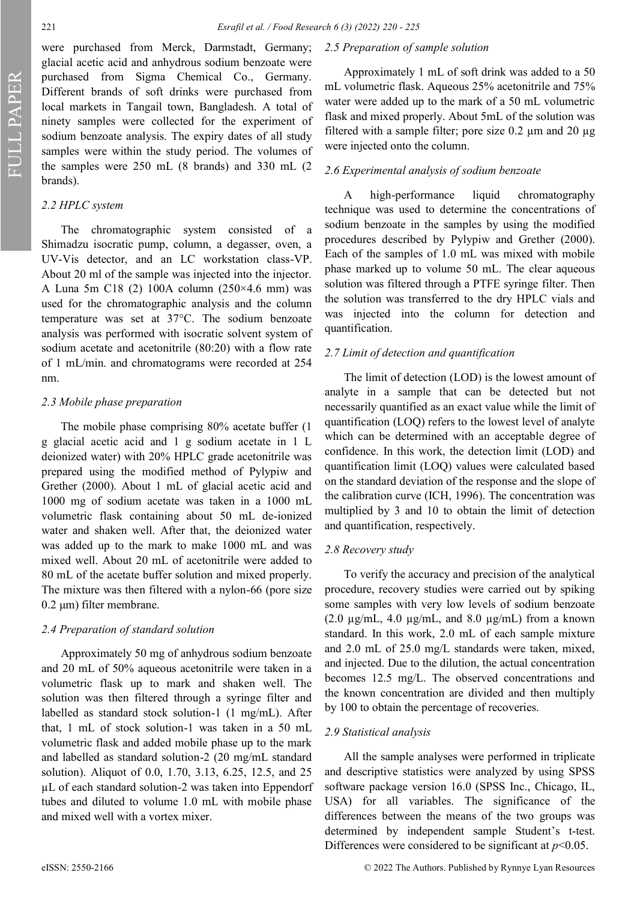FULL PAPER

were purchased from Merck, Darmstadt, Germany; glacial acetic acid and anhydrous sodium benzoate were purchased from Sigma Chemical Co., Germany. Different brands of soft drinks were purchased from local markets in Tangail town, Bangladesh. A total of ninety samples were collected for the experiment of sodium benzoate analysis. The expiry dates of all study samples were within the study period. The volumes of the samples were 250 mL (8 brands) and 330 mL (2 brands).

### *2.2 HPLC system*

The chromatographic system consisted of a Shimadzu isocratic pump, column, a degasser, oven, a UV-Vis detector, and an LC workstation class-VP. About 20 ml of the sample was injected into the injector. A Luna 5m C18 (2) 100A column (250×4.6 mm) was used for the chromatographic analysis and the column temperature was set at 37°C. The sodium benzoate analysis was performed with isocratic solvent system of sodium acetate and acetonitrile (80:20) with a flow rate of 1 mL/min. and chromatograms were recorded at 254 nm.

#### *2.3 Mobile phase preparation*

The mobile phase comprising 80% acetate buffer (1 g glacial acetic acid and 1 g sodium acetate in 1 L deionized water) with 20% HPLC grade acetonitrile was prepared using the modified method of Pylypiw and Grether (2000). About 1 mL of glacial acetic acid and 1000 mg of sodium acetate was taken in a 1000 mL volumetric flask containing about 50 mL de-ionized water and shaken well. After that, the deionized water was added up to the mark to make 1000 mL and was mixed well. About 20 mL of acetonitrile were added to 80 mL of the acetate buffer solution and mixed properly. The mixture was then filtered with a nylon-66 (pore size 0.2 μm) filter membrane.

#### *2.4 Preparation of standard solution*

Approximately 50 mg of anhydrous sodium benzoate and 20 mL of 50% aqueous acetonitrile were taken in a volumetric flask up to mark and shaken well. The solution was then filtered through a syringe filter and labelled as standard stock solution-1 (1 mg/mL). After that, 1 mL of stock solution-1 was taken in a 50 mL volumetric flask and added mobile phase up to the mark and labelled as standard solution-2 (20 mg/mL standard solution). Aliquot of 0.0, 1.70, 3.13, 6.25, 12.5, and 25 µL of each standard solution-2 was taken into Eppendorf tubes and diluted to volume 1.0 mL with mobile phase and mixed well with a vortex mixer.

#### *2.5 Preparation of sample solution*

Approximately 1 mL of soft drink was added to a 50 mL volumetric flask. Aqueous 25% acetonitrile and 75% water were added up to the mark of a 50 mL volumetric flask and mixed properly. About 5mL of the solution was filtered with a sample filter; pore size  $0.2 \mu m$  and  $20 \mu g$ were injected onto the column.

#### *2.6 Experimental analysis of sodium benzoate*

A high-performance liquid chromatography technique was used to determine the concentrations of sodium benzoate in the samples by using the modified procedures described by Pylypiw and Grether (2000). Each of the samples of 1.0 mL was mixed with mobile phase marked up to volume 50 mL. The clear aqueous solution was filtered through a PTFE syringe filter. Then the solution was transferred to the dry HPLC vials and was injected into the column for detection and quantification.

#### *2.7 Limit of detection and quantification*

The limit of detection (LOD) is the lowest amount of analyte in a sample that can be detected but not necessarily quantified as an exact value while the limit of quantification (LOQ) refers to the lowest level of analyte which can be determined with an acceptable degree of confidence. In this work, the detection limit (LOD) and quantification limit (LOQ) values were calculated based on the standard deviation of the response and the slope of the calibration curve (ICH, 1996). The concentration was multiplied by 3 and 10 to obtain the limit of detection and quantification, respectively.

#### *2.8 Recovery study*

To verify the accuracy and precision of the analytical procedure, recovery studies were carried out by spiking some samples with very low levels of sodium benzoate (2.0  $\mu$ g/mL, 4.0  $\mu$ g/mL, and 8.0  $\mu$ g/mL) from a known standard. In this work, 2.0 mL of each sample mixture and 2.0 mL of 25.0 mg/L standards were taken, mixed, and injected. Due to the dilution, the actual concentration becomes 12.5 mg/L. The observed concentrations and the known concentration are divided and then multiply by 100 to obtain the percentage of recoveries.

#### *2.9 Statistical analysis*

All the sample analyses were performed in triplicate and descriptive statistics were analyzed by using SPSS software package version 16.0 (SPSS Inc., Chicago, IL, USA) for all variables. The significance of the differences between the means of the two groups was determined by independent sample Student's t-test. Differences were considered to be significant at  $p<0.05$ .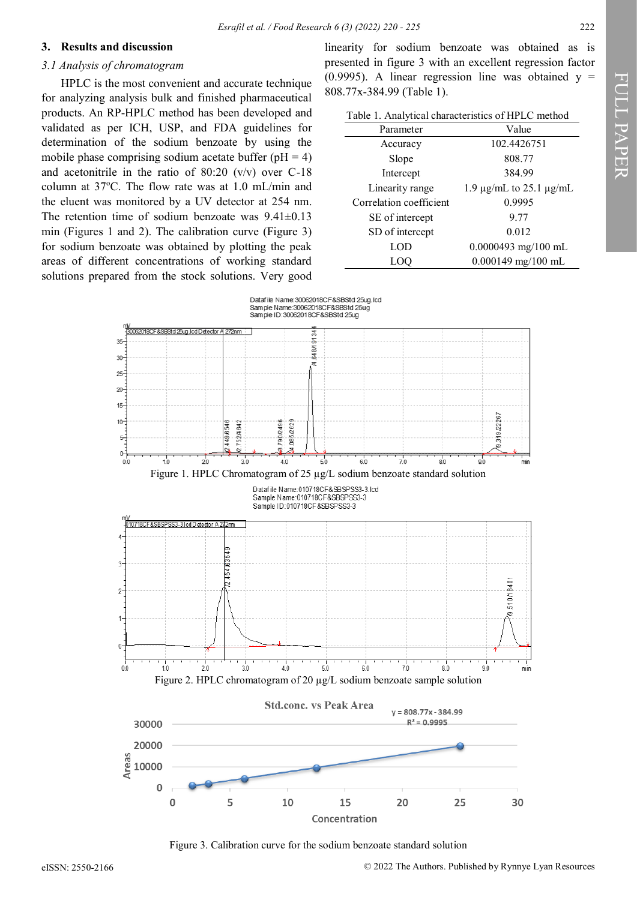#### **3. Results and discussion**

#### *3.1 Analysis of chromatogram*

HPLC is the most convenient and accurate technique for analyzing analysis bulk and finished pharmaceutical products. An RP-HPLC method has been developed and validated as per ICH, USP, and FDA guidelines for determination of the sodium benzoate by using the mobile phase comprising sodium acetate buffer ( $pH = 4$ ) and acetonitrile in the ratio of 80:20 (v/v) over C-18 column at  $37^{\circ}$ C. The flow rate was at 1.0 mL/min and the eluent was monitored by a UV detector at 254 nm. The retention time of sodium benzoate was 9.41±0.13 min (Figures 1 and 2). The calibration curve (Figure 3) for sodium benzoate was obtained by plotting the peak areas of different concentrations of working standard solutions prepared from the stock solutions. Very good linearity for sodium benzoate was obtained as is presented in figure 3 with an excellent regression factor (0.9995). A linear regression line was obtained  $y =$ 808.77x-384.99 (Table 1).

| Table 1. Analytical characteristics of HPLC method |  |  |
|----------------------------------------------------|--|--|
|----------------------------------------------------|--|--|

| Parameter               | Value                             |  |  |
|-------------------------|-----------------------------------|--|--|
| Accuracy                | 102.4426751                       |  |  |
| Slope                   | 808.77                            |  |  |
| Intercept               | 384.99                            |  |  |
| Linearity range         | 1.9 $\mu$ g/mL to 25.1 $\mu$ g/mL |  |  |
| Correlation coefficient | 0.9995                            |  |  |
| SE of intercept         | 9.77                              |  |  |
| SD of intercept         | 0.012                             |  |  |
| LOD                     | $0.0000493$ mg/100 mL             |  |  |
|                         | 0.000149 mg/100 mL                |  |  |



Figure 3. Calibration curve for the sodium benzoate standard solution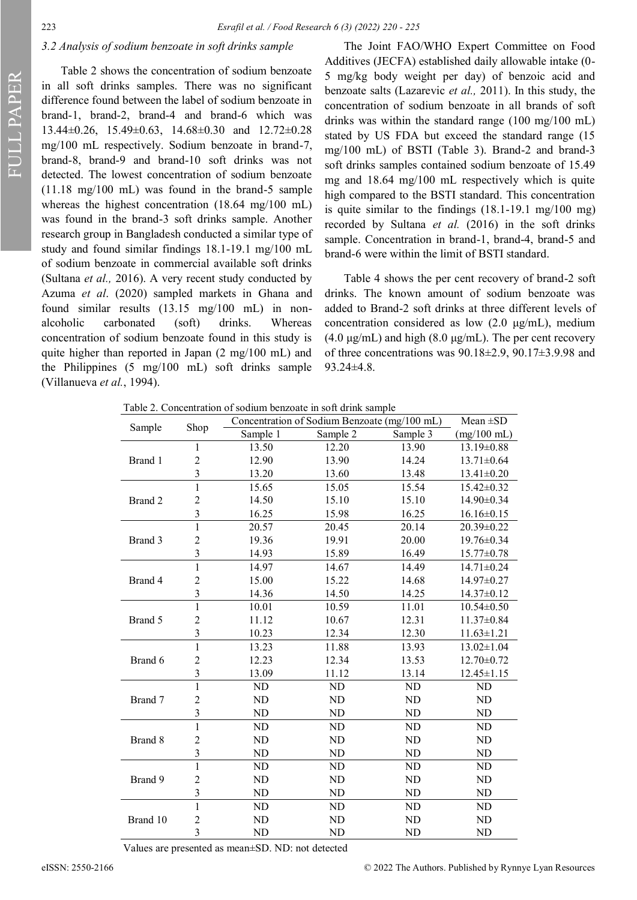FULL PAPER

#### *3.2 Analysis of sodium benzoate in soft drinks sample*

Table 2 shows the concentration of sodium benzoate in all soft drinks samples. There was no significant difference found between the label of sodium benzoate in brand-1, brand-2, brand-4 and brand-6 which was 13.44±0.26, 15.49±0.63, 14.68±0.30 and 12.72±0.28 mg/100 mL respectively. Sodium benzoate in brand-7, brand-8, brand-9 and brand-10 soft drinks was not detected. The lowest concentration of sodium benzoate (11.18 mg/100 mL) was found in the brand-5 sample whereas the highest concentration (18.64 mg/100 mL) was found in the brand-3 soft drinks sample. Another research group in Bangladesh conducted a similar type of study and found similar findings 18.1-19.1 mg/100 mL of sodium benzoate in commercial available soft drinks (Sultana *et al.,* 2016). A very recent study conducted by Azuma *et al*. (2020) sampled markets in Ghana and found similar results (13.15 mg/100 mL) in nonalcoholic carbonated (soft) drinks. Whereas concentration of sodium benzoate found in this study is quite higher than reported in Japan (2 mg/100 mL) and the Philippines (5 mg/100 mL) soft drinks sample (Villanueva *et al.*, 1994).

The Joint FAO/WHO Expert Committee on Food Additives (JECFA) established daily allowable intake (0- 5 mg/kg body weight per day) of benzoic acid and benzoate salts (Lazarevic *et al.,* 2011). In this study, the concentration of sodium benzoate in all brands of soft drinks was within the standard range (100 mg/100 mL) stated by US FDA but exceed the standard range (15 mg/100 mL) of BSTI (Table 3). Brand-2 and brand-3 soft drinks samples contained sodium benzoate of 15.49 mg and 18.64 mg/100 mL respectively which is quite high compared to the BSTI standard. This concentration is quite similar to the findings (18.1-19.1 mg/100 mg) recorded by Sultana *et al.* (2016) in the soft drinks sample. Concentration in brand-1, brand-4, brand-5 and brand-6 were within the limit of BSTI standard.

Table 4 shows the per cent recovery of brand-2 soft drinks. The known amount of sodium benzoate was added to Brand-2 soft drinks at three different levels of concentration considered as low (2.0 μg/mL), medium (4.0  $\mu$ g/mL) and high (8.0  $\mu$ g/mL). The per cent recovery of three concentrations was 90.18±2.9, 90.17±3.9.98 and 93.24±4.8.

Table 2. Concentration of sodium benzoate in soft drink sample

| Sample   | Shop                    | Concentration of Sodium Benzoate (mg/100 mL) | $Mean \pm SD$ |           |                       |
|----------|-------------------------|----------------------------------------------|---------------|-----------|-----------------------|
|          |                         | Sample 1                                     | Sample 2      | Sample 3  | $(mg/100 \text{ mL})$ |
|          | 1                       | 13.50                                        | 12.20         | 13.90     | 13.19±0.88            |
| Brand 1  | $\overline{c}$          | 12.90                                        | 13.90         | 14.24     | 13.71±0.64            |
|          | 3                       | 13.20                                        | 13.60         | 13.48     | 13.41±0.20            |
|          | $\mathbf{1}$            | 15.65                                        | 15.05         | 15.54     | $15.42 \pm 0.32$      |
| Brand 2  | $\overline{c}$          | 14.50                                        | 15.10         | 15.10     | $14.90 \pm 0.34$      |
|          | 3                       | 16.25                                        | 15.98         | 16.25     | $16.16 \pm 0.15$      |
|          | $\mathbf{1}$            | 20.57                                        | 20.45         | 20.14     | 20.39±0.22            |
| Brand 3  | $\overline{c}$          | 19.36                                        | 19.91         | 20.00     | 19.76±0.34            |
|          | 3                       | 14.93                                        | 15.89         | 16.49     | $15.77 \pm 0.78$      |
|          | $\mathbf{1}$            | 14.97                                        | 14.67         | 14.49     | 14.71±0.24            |
| Brand 4  | $\overline{c}$          | 15.00                                        | 15.22         | 14.68     | $14.97 \pm 0.27$      |
|          | 3                       | 14.36                                        | 14.50         | 14.25     | $14.37 \pm 0.12$      |
|          | $\mathbf{1}$            | 10.01                                        | 10.59         | 11.01     | $10.54 \pm 0.50$      |
| Brand 5  | $\overline{c}$          | 11.12                                        | 10.67         | 12.31     | $11.37 \pm 0.84$      |
|          | 3                       | 10.23                                        | 12.34         | 12.30     | $11.63 \pm 1.21$      |
|          | $\mathbf{1}$            | 13.23                                        | 11.88         | 13.93     | $13.02 \pm 1.04$      |
| Brand 6  | $\overline{c}$          | 12.23                                        | 12.34         | 13.53     | $12.70 \pm 0.72$      |
|          | 3                       | 13.09                                        | 11.12         | 13.14     | $12.45 \pm 1.15$      |
| Brand 7  | $\mathbf{1}$            | ND                                           | ND            | ND        | ND                    |
|          | $\overline{c}$          | ND                                           | ND            | <b>ND</b> | ND                    |
|          | 3                       | ND                                           | ND            | <b>ND</b> | ND                    |
| Brand 8  | 1                       | ND                                           | ND            | ND        | ND                    |
|          | $\overline{2}$          | ND                                           | ND            | <b>ND</b> | ND                    |
|          | 3                       | <b>ND</b>                                    | ND            | ND        | ND                    |
| Brand 9  | $\mathbf{1}$            | ND                                           | ND            | ND        | ND                    |
|          | $\overline{c}$          | ND                                           | ND            | ND        | ND                    |
|          | 3                       | ND                                           | ND            | <b>ND</b> | ND                    |
|          | $\mathbf{1}$            | ND                                           | ND            | ND        | ND                    |
| Brand 10 | $\overline{c}$          | ND                                           | ND            | ND        | ND                    |
|          | $\overline{\mathbf{3}}$ | ND                                           | ND            | <b>ND</b> | <b>ND</b>             |

Values are presented as mean±SD. ND: not detected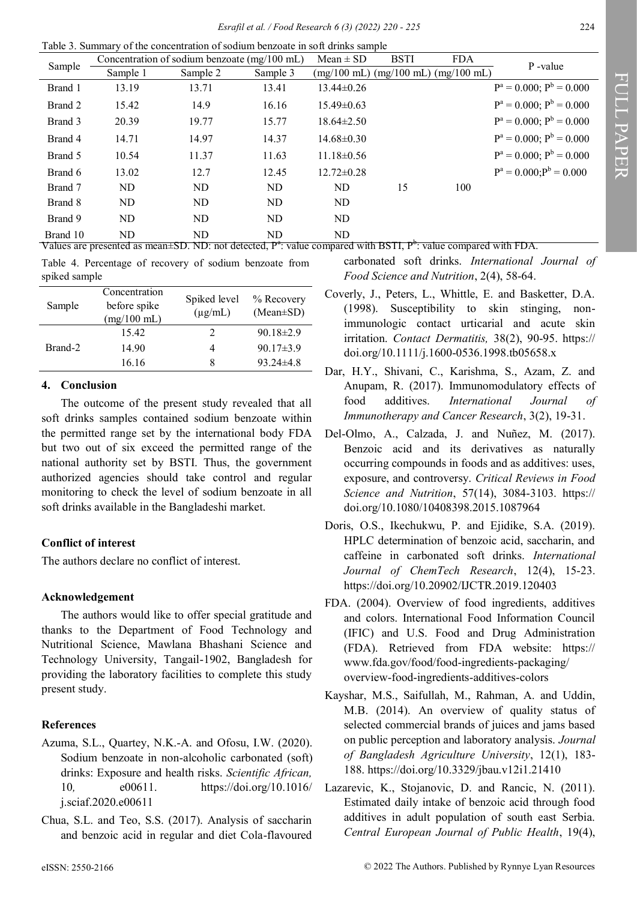Table 3. Summary of the concentration of sodium benzoate in soft drinks sample

|          | Concentration of sodium benzoate (mg/100 mL) |          | $Mean \pm SD$ | <b>BSTI</b>           | <b>FDA</b>                                  | P-value |                               |
|----------|----------------------------------------------|----------|---------------|-----------------------|---------------------------------------------|---------|-------------------------------|
| Sample   | Sample 1                                     | Sample 2 | Sample 3      | $(mg/100 \text{ mL})$ | $(mg/100 \text{ mL})$ $(mg/100 \text{ mL})$ |         |                               |
| Brand 1  | 13.19                                        | 13.71    | 13.41         | $13.44 \pm 0.26$      |                                             |         | $P^a = 0.000; P^b = 0.000$    |
| Brand 2  | 15.42                                        | 14.9     | 16.16         | $15.49 \pm 0.63$      |                                             |         | $P^a = 0.000; P^b = 0.000$    |
| Brand 3  | 20.39                                        | 19.77    | 15.77         | $18.64 \pm 2.50$      |                                             |         | $P^a = 0.000$ ; $P^b = 0.000$ |
| Brand 4  | 14.71                                        | 14.97    | 14.37         | $14.68 \pm 0.30$      |                                             |         | $P^a = 0.000; P^b = 0.000$    |
| Brand 5  | 10.54                                        | 11.37    | 11.63         | $11.18 \pm 0.56$      |                                             |         | $P^a = 0.000; P^b = 0.000$    |
| Brand 6  | 13.02                                        | 12.7     | 12.45         | $12.72 \pm 0.28$      |                                             |         | $P^a = 0.000; P^b = 0.000$    |
| Brand 7  | ND                                           | ND       | ND            | ND                    | 15                                          | 100     |                               |
| Brand 8  | ND                                           | ND       | ND            | ND                    |                                             |         |                               |
| Brand 9  | ND                                           | ND       | ND            | ND                    |                                             |         |                               |
| Brand 10 | ND                                           | ND       | ND            | ND                    |                                             |         |                               |

Values are presented as mean±SD. ND: not detected,  $P^a$ : value compared with BSTI,  $P^b$ : value compared with FDA.

Table 4. Percentage of recovery of sodium benzoate from spiked sample

| Sample  | Concentration<br>before spike<br>$(mg/100 \text{ mL})$ | Spiked level<br>$(\mu g/mL)$ | % Recovery<br>$(Mean \pm SD)$ |
|---------|--------------------------------------------------------|------------------------------|-------------------------------|
|         | 15.42                                                  |                              | $90.18 \pm 2.9$               |
| Brand-2 | 14.90                                                  |                              | $90.17 \pm 3.9$               |
|         | 16.16                                                  |                              | $93.24 \pm 4.8$               |

## **4. Conclusion**

The outcome of the present study revealed that all soft drinks samples contained sodium benzoate within the permitted range set by the international body FDA but two out of six exceed the permitted range of the national authority set by BSTI. Thus, the government authorized agencies should take control and regular monitoring to check the level of sodium benzoate in all soft drinks available in the Bangladeshi market.

## **Conflict of interest**

The authors declare no conflict of interest.

## **Acknowledgement**

The authors would like to offer special gratitude and thanks to the Department of Food Technology and Nutritional Science, Mawlana Bhashani Science and Technology University, Tangail-1902, Bangladesh for providing the laboratory facilities to complete this study present study.

## **References**

- Azuma, S.L., Quartey, N.K.-A. and Ofosu, I.W. (2020). Sodium benzoate in non-alcoholic carbonated (soft) drinks: Exposure and health risks. *Scientific African,*  10*,* e00611. https://doi.org/10.1016/ j.sciaf.2020.e00611
- Chua, S.L. and Teo, S.S. (2017). Analysis of saccharin and benzoic acid in regular and diet Cola-flavoured

carbonated soft drinks. *International Journal of Food Science and Nutrition*, 2(4), 58-64.

- Coverly, J., Peters, L., Whittle, E. and Basketter, D.A. (1998). Susceptibility to skin stinging, nonimmunologic contact urticarial and acute skin irritation. *Contact Dermatitis,* 38(2), 90-95. https:// doi.org/10.1111/j.1600-0536.1998.tb05658.x
- Dar, H.Y., Shivani, C., Karishma, S., Azam, Z. and Anupam, R. (2017). Immunomodulatory effects of food additives. *International Journal of Immunotherapy and Cancer Research*, 3(2), 19-31.
- Del-Olmo, A., Calzada, J. and Nuñez, M. (2017). Benzoic acid and its derivatives as naturally occurring compounds in foods and as additives: uses, exposure, and controversy. *Critical Reviews in Food Science and Nutrition*, 57(14), 3084-3103. https:// doi.org/10.1080/10408398.2015.1087964
- Doris, O.S., Ikechukwu, P. and Ejidike, S.A. (2019). HPLC determination of benzoic acid, saccharin, and caffeine in carbonated soft drinks. *International Journal of ChemTech Research*, 12(4), 15-23. https://doi.org/10.20902/IJCTR.2019.120403
- FDA. (2004). Overview of food ingredients, additives and colors. International Food Information Council (IFIC) and U.S. Food and Drug Administration (FDA). Retrieved from FDA website: https:// www.fda.gov/food/food-ingredients-packaging/ overview-food-ingredients-additives-colors
- Kayshar, M.S., Saifullah, M., Rahman, A. and Uddin, M.B. (2014). An overview of quality status of selected commercial brands of juices and jams based on public perception and laboratory analysis. *Journal of Bangladesh Agriculture University*, 12(1), 183- 188. https://doi.org/10.3329/jbau.v12i1.21410
- Lazarevic, K., Stojanovic, D. and Rancic, N. (2011). Estimated daily intake of benzoic acid through food additives in adult population of south east Serbia. *Central European Journal of Public Health*, 19(4),